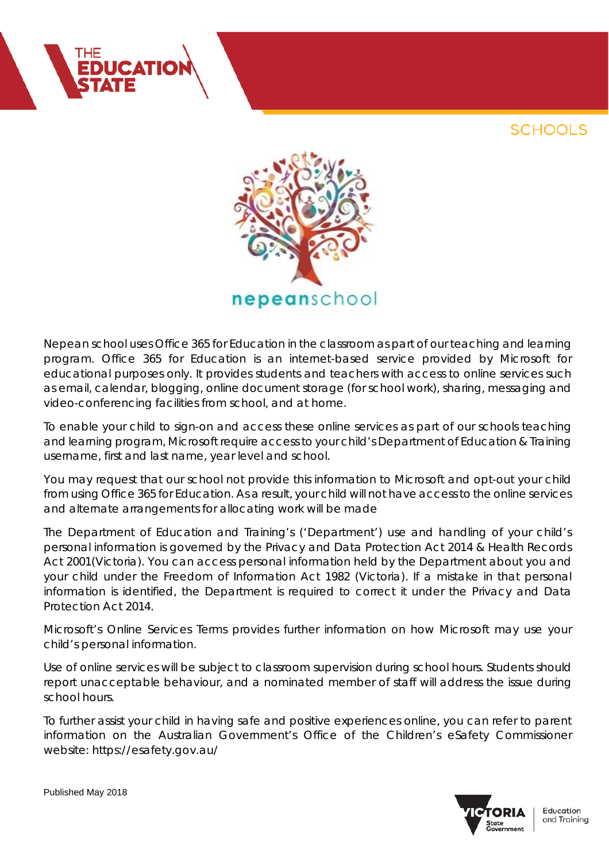



Nepean school uses Office 365 for Education in the classroom as part of our teaching and learning program. Office 365 for Education is an internet-based service provided by Microsoft for educational purposes only. It provides students and teachers with access to online services such as email, calendar, blogging, online document storage (for school work), sharing, messaging and video-conferencing facilities from school, and at home.

To enable your child to sign-on and access these online services as part of our schools teaching and learning program, Microsoft require access to your child's Department of Education & Training username, first and last name, year level and school.

You may request that our school not provide this information to Microsoft and opt-out your child from using Office 365 for Education. As a result, your child will not have access to the online services and alternate arrangements for allocating work will be made

The Department of Education and Training's ('Department') use and handling of your child's personal information is governed by the Privacy and Data Protection Act 2014 & Health Records Act 2001(Victoria). You can access personal information held by the Department about you and your child under the Freedom of Information Act 1982 (Victoria). If a mistake in that personal information is identified, the Department is required to correct it under the Privacy and Data Protection Act 2014.

Microsoft's Online Services Terms provides further information on how Microsoft may use your child's personal information.

Use of online services will be subject to classroom supervision during school hours. Students should report unacceptable behaviour, and a nominated member of staff will address the issue during school hours.

To further assist your child in having safe and positive experiences online, you can refer to parent information on the Australian Government's Office of the Children's eSafety Commissioner website: https://esafety.gov.au/



Education and Training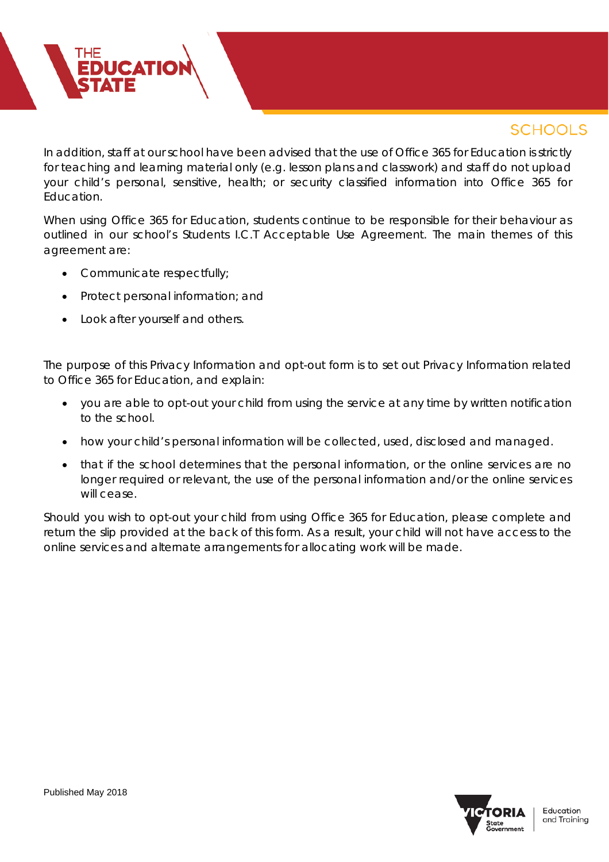In addition, staff at our school have been advised that the use of Office 365 for Education is strictly for teaching and learning material only (e.g. lesson plans and classwork) and staff do not upload your child's personal, sensitive, health; or security classified information into Office 365 for Education.

When using Office 365 for Education, students continue to be responsible for their behaviour as outlined in our school's Students I.C.T Acceptable Use Agreement. The main themes of this agreement are:

• Communicate respectfully;

**EDUCATIO** 

- Protect personal information; and
- Look after yourself and others.

The purpose of this Privacy Information and opt-out form is to set out Privacy Information related to Office 365 for Education, and explain:

- you are able to opt-out your child from using the service at any time by written notification to the school.
- how your child's personal information will be collected, used, disclosed and managed.
- that if the school determines that the personal information, or the online services are no longer required or relevant, the use of the personal information and/or the online services will cease.

Should you wish to opt-out your child from using Office 365 for Education, please complete and return the slip provided at the back of this form. As a result, your child will not have access to the online services and alternate arrangements for allocating work will be made.

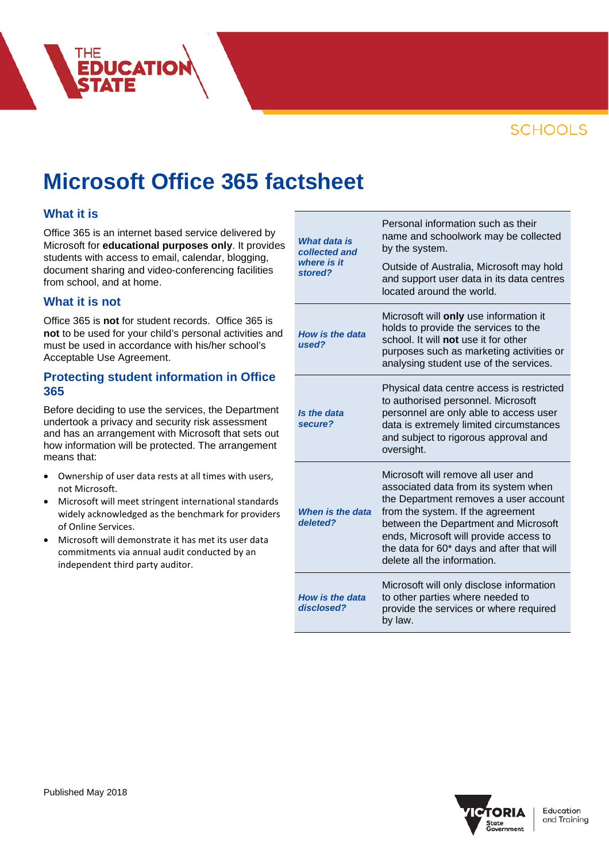

# **Microsoft Office 365 factsheet**

### **What it is**

Office 365 is an internet based service delivered by Microsoft for **educational purposes only**. It provides students with access to email, calendar, blogging, document sharing and video-conferencing facilities from school, and at home.

**EDUCATIO** 

### **What it is not**

Office 365 is **not** for student records. Office 365 is **not** to be used for your child's personal activities and must be used in accordance with his/her school's Acceptable Use Agreement.

### **Protecting student information in Office 365**

Before deciding to use the services, the Department undertook a privacy and security risk assessment and has an arrangement with Microsoft that sets out how information will be protected. The arrangement means that:

- Ownership of user data rests at all times with users, not Microsoft.
- Microsoft will meet stringent international standards widely acknowledged as the benchmark for providers of Online Services.
- Microsoft will demonstrate it has met its user data commitments via annual audit conducted by an independent third party auditor.

| <b>What data is</b><br>collected and<br>where is it<br>stored? | Personal information such as their<br>name and schoolwork may be collected<br>by the system.                                                                                                                                                                                                                           |
|----------------------------------------------------------------|------------------------------------------------------------------------------------------------------------------------------------------------------------------------------------------------------------------------------------------------------------------------------------------------------------------------|
|                                                                | Outside of Australia, Microsoft may hold<br>and support user data in its data centres<br>located around the world.                                                                                                                                                                                                     |
| <b>How is the data</b><br>used?                                | Microsoft will only use information it<br>holds to provide the services to the<br>school. It will not use it for other<br>purposes such as marketing activities or<br>analysing student use of the services.                                                                                                           |
| Is the data<br>secure?                                         | Physical data centre access is restricted<br>to authorised personnel. Microsoft<br>personnel are only able to access user<br>data is extremely limited circumstances<br>and subject to rigorous approval and<br>oversight.                                                                                             |
| When is the data<br>deleted?                                   | Microsoft will remove all user and<br>associated data from its system when<br>the Department removes a user account<br>from the system. If the agreement<br>between the Department and Microsoft<br>ends, Microsoft will provide access to<br>the data for 60* days and after that will<br>delete all the information. |
| <b>How is the data</b><br>disclosed?                           | Microsoft will only disclose information<br>to other parties where needed to<br>provide the services or where required<br>by law.                                                                                                                                                                                      |

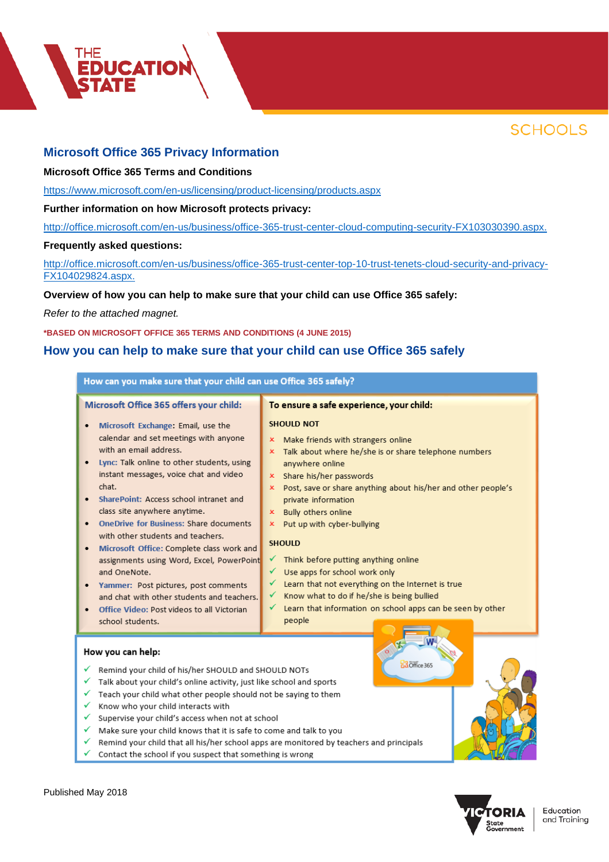



### **Microsoft Office 365 Privacy Information**

### **Microsoft Office 365 Terms and Conditions**

<https://www.microsoft.com/en-us/licensing/product-licensing/products.aspx>

### **Further information on how Microsoft protects privacy:**

[http://office.microsoft.com/en-us/business/office-365-trust-center-cloud-computing-security-FX103030390.aspx.](http://office.microsoft.com/en-us/business/office-365-trust-center-cloud-computing-security-FX103030390.aspx)

#### **Frequently asked questions:**

[http://office.microsoft.com/en-us/business/office-365-trust-center-top-10-trust-tenets-cloud-security-and-privacy-](http://office.microsoft.com/en-us/business/office-365-trust-center-top-10-trust-tenets-cloud-security-and-privacy-FX104029824.aspx)[FX104029824.aspx.](http://office.microsoft.com/en-us/business/office-365-trust-center-top-10-trust-tenets-cloud-security-and-privacy-FX104029824.aspx)

### **Overview of how you can help to make sure that your child can use Office 365 safely:**

*Refer to the attached magnet.*

#### **\*BASED ON MICROSOFT OFFICE 365 TERMS AND CONDITIONS (4 JUNE 2015)**

### **How you can help to make sure that your child can use Office 365 safely**

| How can you make sure that your child can use Office 365 safely?                                                                                                                                                                                                                                                                                                                                                                                                                                                                                                                                                                                                                         |                                                                                                                                                                                                                                                                                                                                                                                                                                                                                                                                                                                                                                                                                        |  |
|------------------------------------------------------------------------------------------------------------------------------------------------------------------------------------------------------------------------------------------------------------------------------------------------------------------------------------------------------------------------------------------------------------------------------------------------------------------------------------------------------------------------------------------------------------------------------------------------------------------------------------------------------------------------------------------|----------------------------------------------------------------------------------------------------------------------------------------------------------------------------------------------------------------------------------------------------------------------------------------------------------------------------------------------------------------------------------------------------------------------------------------------------------------------------------------------------------------------------------------------------------------------------------------------------------------------------------------------------------------------------------------|--|
| Microsoft Office 365 offers your child:<br>Microsoft Exchange: Email, use the<br>calendar and set meetings with anyone<br>with an email address.<br>Lync: Talk online to other students, using<br>instant messages, voice chat and video<br>chat.<br>SharePoint: Access school intranet and<br>class site anywhere anytime.<br><b>OneDrive for Business: Share documents</b><br>with other students and teachers.<br>Microsoft Office: Complete class work and<br>٠<br>assignments using Word, Excel, PowerPoint<br>and OneNote.<br>Yammer: Post pictures, post comments<br>and chat with other students and teachers.<br>Office Video: Post videos to all Victorian<br>school students. | To ensure a safe experience, your child:<br><b>SHOULD NOT</b><br>Make friends with strangers online<br>x<br>Talk about where he/she is or share telephone numbers<br>x.<br>anywhere online<br>Share his/her passwords<br>$\mathbf{x}$<br>x Post, save or share anything about his/her and other people's<br>private information<br>x Bully others online<br>x Put up with cyber-bullying<br><b>SHOULD</b><br>Think before putting anything online<br>✓<br>Use apps for school work only<br>✓<br>Learn that not everything on the Internet is true<br>✓<br>Know what to do if he/she is being bullied<br>✓<br>Learn that information on school apps can be seen by other<br>✓<br>people |  |
| How you can help:<br>B3 Office 365<br>Remind your child of his/her SHOULD and SHOULD NOTs<br>Talk about your child's online activity, just like school and sports<br>Teach your child what other people should not be saying to them                                                                                                                                                                                                                                                                                                                                                                                                                                                     |                                                                                                                                                                                                                                                                                                                                                                                                                                                                                                                                                                                                                                                                                        |  |
| Know who your child interacts with<br>✓<br>✓<br>Supervise your child's access when not at school<br>Make sure your child knows that it is safe to come and talk to you<br>✓<br>Remind your child that all his/her school apps are monitored by teachers and principals<br>✓<br>Contact the school if you suspect that something is wrong                                                                                                                                                                                                                                                                                                                                                 |                                                                                                                                                                                                                                                                                                                                                                                                                                                                                                                                                                                                                                                                                        |  |

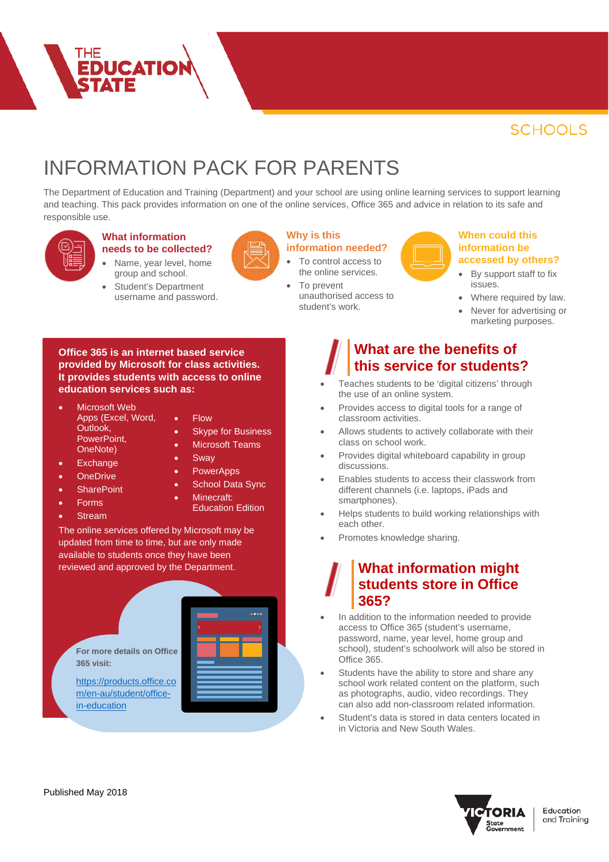# INFORMATION PACK FOR PARENTS

The Department of Education and Training (Department) and your school are using online learning services to support learning and teaching. This pack provides information on one of the online services, Office 365 and advice in relation to its safe and responsible use.



#### **What information needs to be collected?**

**EDUCATION** 

- Name, year level, home group and school.
- Student's Department username and password.



- To control access to the online services.
	- To prevent unauthorised access to student's work.

### **When could this information be accessed by others?**

- By support staff to fix issues.
- Where required by law.
- Never for advertising or marketing purposes.

**Office 365 is an internet based service provided by Microsoft for class activities. It provides students with access to online education services such as:**

- Microsoft Web Apps (Excel, Word, Outlook, PowerPoint, OneNote) **Exchange**
- Flow
- Skype for Business
- Microsoft Teams

Education Edition

- **Sway**
- PowerApps
- School Data Sync Minecraft:
- **OneDrive** • SharePoint
- Forms
- Stream

The online services offered by Microsoft may be updated from time to time, but are only made available to students once they have been reviewed and approved by the Department.

**For more details on Office 365 visit:**

[https://products.office.co](https://products.office.com/en-au/student/office-in-education) [m/en-au/student/office](https://products.office.com/en-au/student/office-in-education)[in-education](https://products.office.com/en-au/student/office-in-education)



### **What information might students store in Office 365?**

**What are the benefits of this service for students?** • Teaches students to be 'digital citizens' through

• Provides access to digital tools for a range of

• Allows students to actively collaborate with their

• Provides digital whiteboard capability in group

the use of an online system.

classroom activities.

class on school work.

- In addition to the information needed to provide access to Office 365 (student's username, password, name, year level, home group and school), student's schoolwork will also be stored in Office 365.
- Students have the ability to store and share any school work related content on the platform, such as photographs, audio, video recordings. They can also add non-classroom related information.
- Student's data is stored in data centers located in in Victoria and New South Wales.